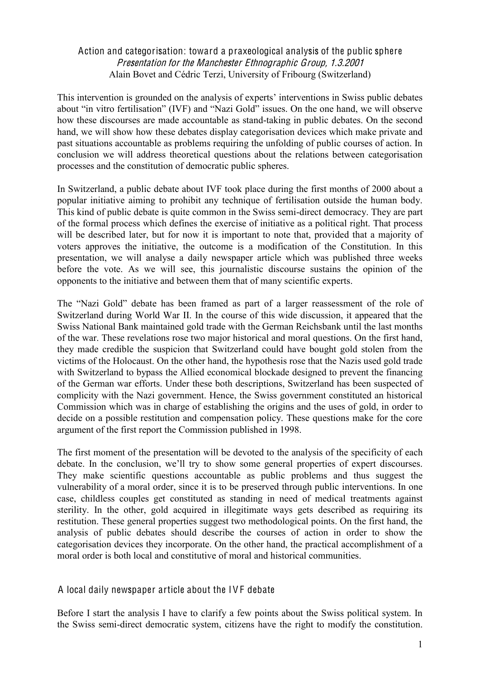# Action and categorisation: toward a praxeological analysis of the public sphere Presentation for th<sup>e</sup> Mancheste<sup>r</sup> Ethnographi<sup>c</sup> Group, 1.3.2001 Alain Bovet and Cédric Terzi, University of Fribourg (Switzerland)

This intervention is grounded on the analysis of experts' interventions in Swiss public debates about "in vitro fertilisation" (IVF) and "Nazi Gold" issues. On the one hand, we will observe how these discourses are made accountable as stand-taking in public debates. On the second hand, we will show how these debates display categorisation devices which make private and past situations accountable as problems requiring the unfolding of public courses of action. In conclusion we will address theoretical questions about the relations between categorisation processes and the constitution of democratic public spheres.

In Switzerland, a public debate about IVF took place during the first months of 2000 about a popular initiative aiming to prohibit any technique of fertilisation outside the human body. This kind of public debate is quite common in the Swiss semi-direct democracy. They are part of the formal process which defines the exercise of initiative as a political right. That process will be described later, but for now it is important to note that, provided that a majority of voters approves the initiative, the outcome is a modification of the Constitution. In this presentation, we will analyse a daily newspaper article which was published three weeks before the vote. As we will see, this journalistic discourse sustains the opinion of the opponents to the initiative and between them that of many scientific experts.

The "Nazi Gold" debate has been framed as part of a larger reassessment of the role of Switzerland during World War II. In the course of this wide discussion, it appeared that the Swiss National Bank maintained gold trade with the German Reichsbank until the last months of the war. These revelations rose two major historical and moral questions. On the first hand, they made credible the suspicion that Switzerland could have bought gold stolen from the victims of the Holocaust. On the other hand, the hypothesis rose that the Nazis used gold trade with Switzerland to bypass the Allied economical blockade designed to prevent the financing of the German war efforts. Under these both descriptions, Switzerland has been suspected of complicity with the Nazi government. Hence, the Swiss government constituted an historical Commission which was in charge of establishing the origins and the uses of gold, in order to decide on a possible restitution and compensation policy. These questions make for the core argument of the first report the Commission published in 1998.

The first moment of the presentation will be devoted to the analysis of the specificity of each debate. In the conclusion, we'll try to show some general properties of expert discourses. They make scientific questions accountable as public problems and thus suggest the vulnerability of a moral order, since it is to be preserved through public interventions. In one case, childless couples get constituted as standing in need of medical treatments against sterility. In the other, gold acquired in illegitimate ways gets described as requiring its restitution. These general properties suggest two methodological points. On the first hand, the analysis of public debates should describe the courses of action in order to show the categorisation devices they incorporate. On the other hand, the practical accomplishment of a moral order is both local and constitutive of moral and historical communities.

# A local daily newspaper article about the IV F debate

Before I start the analysis I have to clarify a few points about the Swiss political system. In the Swiss semi-direct democratic system, citizens have the right to modify the constitution.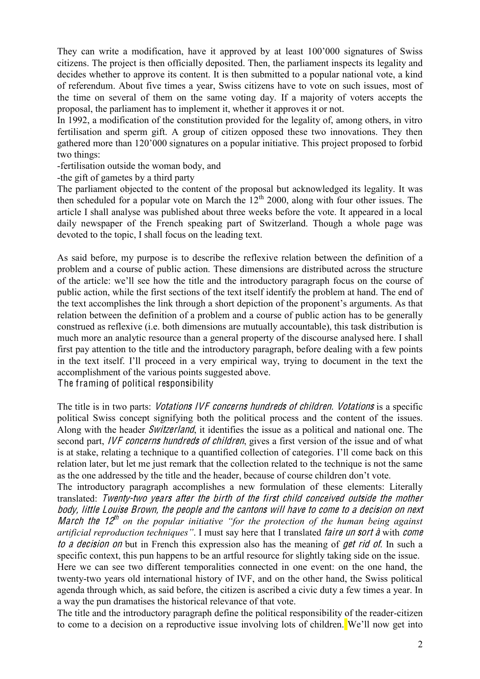They can write a modification, have it approved by at least 100'000 signatures of Swiss citizens. The project is then officially deposited. Then, the parliament inspects its legality and decides whether to approve its content. It is then submitted to a popular national vote, a kind of referendum. About five times a year, Swiss citizens have to vote on such issues, most of the time on several of them on the same voting day. If a majority of voters accepts the proposal, the parliament has to implement it, whether it approves it or not.

In 1992, a modification of the constitution provided for the legality of, among others, in vitro fertilisation and sperm gift. A group of citizen opposed these two innovations. They then gathered more than 120'000 signatures on a popular initiative. This project proposed to forbid two things:

-fertilisation outside the woman body, and

-the gift of gametes by a third party

The parliament objected to the content of the proposal but acknowledged its legality. It was then scheduled for a popular vote on March the  $12<sup>th</sup>$  2000, along with four other issues. The article I shall analyse was published about three weeks before the vote. It appeared in a local daily newspaper of the French speaking part of Switzerland. Though a whole page was devoted to the topic, I shall focus on the leading text.

As said before, my purpose is to describe the reflexive relation between the definition of a problem and a course of public action. These dimensions are distributed across the structure of the article: we'll see how the title and the introductory paragraph focus on the course of public action, while the first sections of the text itself identify the problem at hand. The end of the text accomplishes the link through a short depiction of the proponent's arguments. As that relation between the definition of a problem and a course of public action has to be generally construed as reflexive (i.e. both dimensions are mutually accountable), this task distribution is much more an analytic resource than a general property of the discourse analysed here. I shall first pay attention to the title and the introductory paragraph, before dealing with a few points in the text itself. I'll proceed in a very empirical way, trying to document in the text the accomplishment of the various points suggested above.

The framing of political responsibility

The title is in two parts: *Votations IVF concerns hundreds of children. Votations* is a specific political Swiss concept signifying both the political process and the content of the issues. Along with the header Switzerland, it identifies the issue as a political and national one. The second part, *IVF concerns hundreds of children*, gives a first version of the issue and of what is at stake, relating a technique to a quantified collection of categories. I'll come back on this relation later, but let me just remark that the collection related to the technique is not the same as the one addressed by the title and the header, because of course children don't vote.

The introductory paragraph accomplishes a new formulation of these elements: Literally translated: Twenty-two year<sup>s</sup> <sup>a</sup>fte<sup>r</sup> <sup>t</sup>h<sup>e</sup> birth <sup>o</sup>f <sup>t</sup>h<sup>e</sup> first <sup>c</sup>hild <sup>c</sup>onceived outsid<sup>e</sup> <sup>t</sup>h<sup>e</sup> <sup>m</sup>othe<sup>r</sup> body, littl<sup>e</sup> Louis<sup>e</sup> Brown, th<sup>e</sup> p<sup>e</sup>opl<sup>e</sup> and th<sup>e</sup> <sup>c</sup>anton<sup>s</sup> will hav<sup>e</sup> t<sup>o</sup> <sup>c</sup>om<sup>e</sup> t<sup>o</sup> <sup>a</sup> decision on <sup>n</sup>ext March the 12<sup>th</sup> on the popular initiative "for the protection of the human being against *artificial reproduction techniques"*. I must say here that I translated fair<sup>e</sup> un <sup>s</sup>or<sup>t</sup> à with <sup>c</sup>om<sup>e</sup> to a decision on but in French this expression also has the meaning of get rid of. In such a specific context, this pun happens to be an artful resource for slightly taking side on the issue.

Here we can see two different temporalities connected in one event: on the one hand, the twenty-two years old international history of IVF, and on the other hand, the Swiss political agenda through which, as said before, the citizen is ascribed a civic duty a few times a year. In a way the pun dramatises the historical relevance of that vote.

The title and the introductory paragraph define the political responsibility of the reader-citizen to come to a decision on a reproductive issue involving lots of children. We'll now get into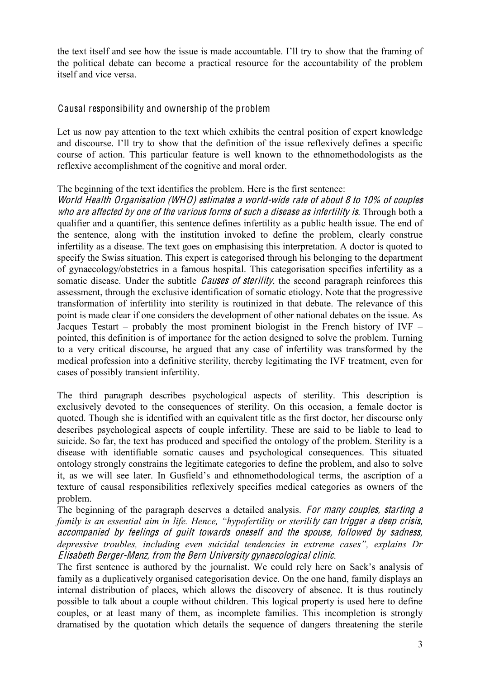the text itself and see how the issue is made accountable. I'll try to show that the framing of the political debate can become a practical resource for the accountability of the problem itself and vice versa.

### Causal responsibility and ownership of the problem

Let us now pay attention to the text which exhibits the central position of expert knowledge and discourse. I'll try to show that the definition of the issue reflexively defines a specific course of action. This particular feature is well known to the ethnomethodologists as the reflexive accomplishment of the cognitive and moral order.

The beginning of the text identifies the problem. Here is the first sentence:

World Health Organi<sup>s</sup>ation (WHO) <sup>e</sup>stimate<sup>s</sup> <sup>a</sup> world-wid<sup>e</sup> rat<sup>e</sup> <sup>o</sup>f about 8 t<sup>o</sup> 10% <sup>o</sup>f <sup>c</sup>ouple<sup>s</sup> who are affected by one of the various forms of such a disease as infertility is. Through both a qualifier and a quantifier, this sentence defines infertility as a public health issue. The end of the sentence, along with the institution invoked to define the problem, clearly construe infertility as a disease. The text goes on emphasising this interpretation. A doctor is quoted to specify the Swiss situation. This expert is categorised through his belonging to the department of gynaecology/obstetrics in a famous hospital. This categorisation specifies infertility as a somatic disease. Under the subtitle *Causes of sterility*, the second paragraph reinforces this assessment, through the exclusive identification of somatic etiology. Note that the progressive transformation of infertility into sterility is routinized in that debate. The relevance of this point is made clear if one considers the development of other national debates on the issue. As Jacques Testart – probably the most prominent biologist in the French history of IVF – pointed, this definition is of importance for the action designed to solve the problem. Turning to a very critical discourse, he argued that any case of infertility was transformed by the medical profession into a definitive sterility, thereby legitimating the IVF treatment, even for cases of possibly transient infertility.

The third paragraph describes psychological aspects of sterility. This description is exclusively devoted to the consequences of sterility. On this occasion, a female doctor is quoted. Though she is identified with an equivalent title as the first doctor, her discourse only describes psychological aspects of couple infertility. These are said to be liable to lead to suicide. So far, the text has produced and specified the ontology of the problem. Sterility is a disease with identifiable somatic causes and psychological consequences. This situated ontology strongly constrains the legitimate categories to define the problem, and also to solve it, as we will see later. In Gusfield's and ethnomethodological terms, the ascription of a texture of causal responsibilities reflexively specifies medical categories as owners of the problem.

The beginning of the paragraph deserves a detailed analysis. For many couples, starting a family is an essential aim in life. Hence, "hypofertility or sterility can trigger a deep crisis, <sup>a</sup>ccompanied by feeling<sup>s</sup> <sup>o</sup>f guilt toward<sup>s</sup> oneself and th<sup>e</sup> <sup>s</sup>pouse, followed by <sup>s</sup>adness, *depressive troubles, including even suicidal tendencies in extreme cases", explains Dr*  Elisabeth Berger-Menz, fro<sup>m</sup> <sup>t</sup>h<sup>e</sup> Bern University gynaecological <sup>c</sup>linic.

The first sentence is authored by the journalist. We could rely here on Sack's analysis of family as a duplicatively organised categorisation device. On the one hand, family displays an internal distribution of places, which allows the discovery of absence. It is thus routinely possible to talk about a couple without children. This logical property is used here to define couples, or at least many of them, as incomplete families. This incompletion is strongly dramatised by the quotation which details the sequence of dangers threatening the sterile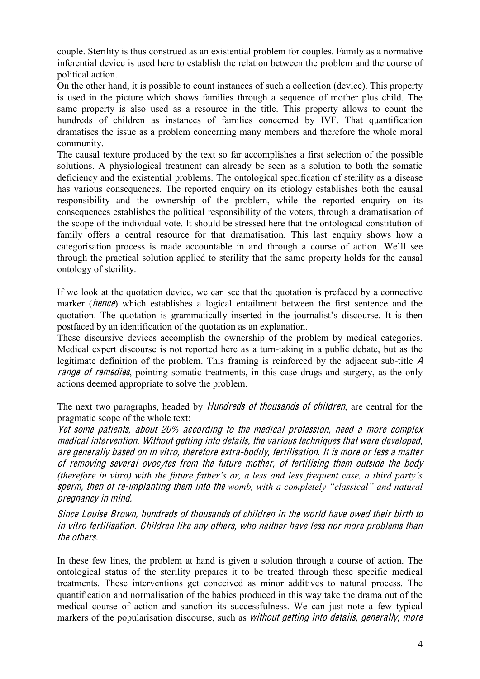couple. Sterility is thus construed as an existential problem for couples. Family as a normative inferential device is used here to establish the relation between the problem and the course of political action.

On the other hand, it is possible to count instances of such a collection (device). This property is used in the picture which shows families through a sequence of mother plus child. The same property is also used as a resource in the title. This property allows to count the hundreds of children as instances of families concerned by IVF. That quantification dramatises the issue as a problem concerning many members and therefore the whole moral community.

The causal texture produced by the text so far accomplishes a first selection of the possible solutions. A physiological treatment can already be seen as a solution to both the somatic deficiency and the existential problems. The ontological specification of sterility as a disease has various consequences. The reported enquiry on its etiology establishes both the causal responsibility and the ownership of the problem, while the reported enquiry on its consequences establishes the political responsibility of the voters, through a dramatisation of the scope of the individual vote. It should be stressed here that the ontological constitution of family offers a central resource for that dramatisation. This last enquiry shows how a categorisation process is made accountable in and through a course of action. We'll see through the practical solution applied to sterility that the same property holds for the causal ontology of sterility.

If we look at the quotation device, we can see that the quotation is prefaced by a connective marker (*hence*) which establishes a logical entailment between the first sentence and the quotation. The quotation is grammatically inserted in the journalist's discourse. It is then postfaced by an identification of the quotation as an explanation.

These discursive devices accomplish the ownership of the problem by medical categories. Medical expert discourse is not reported here as a turn-taking in a public debate, but as the legitimate definition of the problem. This framing is reinforced by the adjacent sub-title A range of remedies, pointing somatic treatments, in this case drugs and surgery, as the only actions deemed appropriate to solve the problem.

The next two paragraphs, headed by *Hundreds of thousands of children*, are central for the pragmatic scope of the whole text:

Yet <sup>s</sup>om<sup>e</sup> patients, about 20% <sup>a</sup>ccording t<sup>o</sup> th<sup>e</sup> <sup>m</sup>edical profession, <sup>n</sup>eed <sup>a</sup> <sup>m</sup>or<sup>e</sup> <sup>c</sup>ompl<sup>e</sup><sup>x</sup> <sup>m</sup>edical intervention. Without getting int<sup>o</sup> details, th<sup>e</sup> variou<sup>s</sup> technique<sup>s</sup> that <sup>w</sup>er<sup>e</sup> dev<sup>e</sup>loped, ar<sup>e</sup> gen<sup>e</sup>rally based on in vitro, therefor<sup>e</sup> <sup>e</sup>xtra-bodily, fertilisation. It i<sup>s</sup> <sup>m</sup>or<sup>e</sup> or less <sup>a</sup> <sup>m</sup>atte<sup>r</sup> <sup>o</sup>f <sup>r</sup>emoving <sup>s</sup>everal ovocyte<sup>s</sup> fro<sup>m</sup> th<sup>e</sup> futur<sup>e</sup> <sup>m</sup>other, <sup>o</sup>f fertilising the<sup>m</sup> outsid<sup>e</sup> th<sup>e</sup> body *(therefore in vitro) with the future father's or, a less and less frequent case, a third party's*  <sup>s</sup>perm, <sup>t</sup>he<sup>n</sup> <sup>o</sup>f <sup>r</sup>e-implanting <sup>t</sup>he<sup>m</sup> int<sup>o</sup> <sup>t</sup>h<sup>e</sup> *womb, with a completely "classical" and natural*  pregnancy in <sup>m</sup>ind.

Since Louis<sup>e</sup> Brown, hundred<sup>s</sup> <sup>o</sup>f thousand<sup>s</sup> <sup>o</sup>f <sup>c</sup>hildre<sup>n</sup> in th<sup>e</sup> world hav<sup>e</sup> owed their birth t<sup>o</sup> in vitro fertilisation. Childre<sup>n</sup> like any <sup>o</sup>thers, who <sup>n</sup>eithe<sup>r</sup> hav<sup>e</sup> less nor <sup>m</sup>or<sup>e</sup> probl<sup>e</sup>m<sup>s</sup> than the others.

In these few lines, the problem at hand is given a solution through a course of action. The ontological status of the sterility prepares it to be treated through these specific medical treatments. These interventions get conceived as minor additives to natural process. The quantification and normalisation of the babies produced in this way take the drama out of the medical course of action and sanction its successfulness. We can just note a few typical markers of the popularisation discourse, such as *without getting into details, generally, more*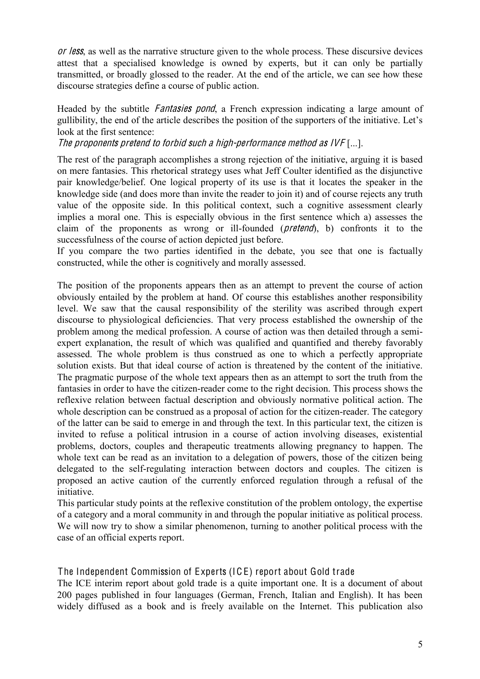or less, as well as the narrative structure given to the whole process. These discursive devices attest that a specialised knowledge is owned by experts, but it can only be partially transmitted, or broadly glossed to the reader. At the end of the article, we can see how these discourse strategies define a course of public action.

Headed by the subtitle *Fantasies pond*, a French expression indicating a large amount of gullibility, the end of the article describes the position of the supporters of the initiative. Let's look at the first sentence:

The proponents pretend to forbid such a high-performance method as  $IVF$  [...].

The rest of the paragraph accomplishes a strong rejection of the initiative, arguing it is based on mere fantasies. This rhetorical strategy uses what Jeff Coulter identified as the disjunctive pair knowledge/belief. One logical property of its use is that it locates the speaker in the knowledge side (and does more than invite the reader to join it) and of course rejects any truth value of the opposite side. In this political context, such a cognitive assessment clearly implies a moral one. This is especially obvious in the first sentence which a) assesses the claim of the proponents as wrong or ill-founded (pretend), b) confronts it to the successfulness of the course of action depicted just before.

If you compare the two parties identified in the debate, you see that one is factually constructed, while the other is cognitively and morally assessed.

The position of the proponents appears then as an attempt to prevent the course of action obviously entailed by the problem at hand. Of course this establishes another responsibility level. We saw that the causal responsibility of the sterility was ascribed through expert discourse to physiological deficiencies. That very process established the ownership of the problem among the medical profession. A course of action was then detailed through a semiexpert explanation, the result of which was qualified and quantified and thereby favorably assessed. The whole problem is thus construed as one to which a perfectly appropriate solution exists. But that ideal course of action is threatened by the content of the initiative. The pragmatic purpose of the whole text appears then as an attempt to sort the truth from the fantasies in order to have the citizen-reader come to the right decision. This process shows the reflexive relation between factual description and obviously normative political action. The whole description can be construed as a proposal of action for the citizen-reader. The category of the latter can be said to emerge in and through the text. In this particular text, the citizen is invited to refuse a political intrusion in a course of action involving diseases, existential problems, doctors, couples and therapeutic treatments allowing pregnancy to happen. The whole text can be read as an invitation to a delegation of powers, those of the citizen being delegated to the self-regulating interaction between doctors and couples. The citizen is proposed an active caution of the currently enforced regulation through a refusal of the initiative.

This particular study points at the reflexive constitution of the problem ontology, the expertise of a category and a moral community in and through the popular initiative as political process. We will now try to show a similar phenomenon, turning to another political process with the case of an official experts report.

# The Independent Commission of Experts (IC E) report about Gold trade

The ICE interim report about gold trade is a quite important one. It is a document of about 200 pages published in four languages (German, French, Italian and English). It has been widely diffused as a book and is freely available on the Internet. This publication also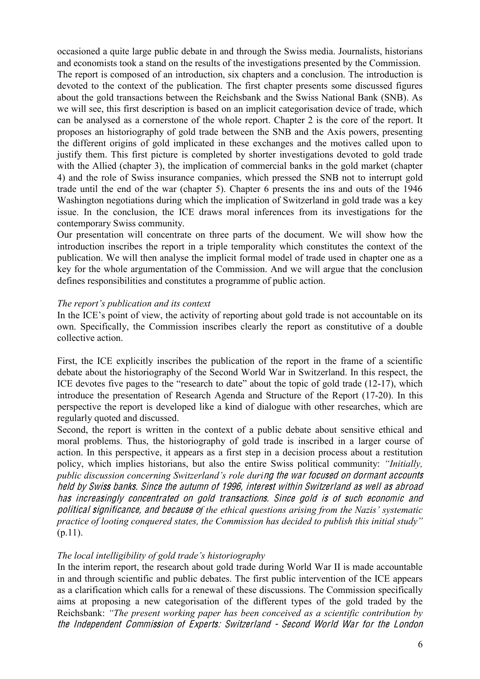occasioned a quite large public debate in and through the Swiss media. Journalists, historians and economists took a stand on the results of the investigations presented by the Commission. The report is composed of an introduction, six chapters and a conclusion. The introduction is devoted to the context of the publication. The first chapter presents some discussed figures about the gold transactions between the Reichsbank and the Swiss National Bank (SNB). As we will see, this first description is based on an implicit categorisation device of trade, which can be analysed as a cornerstone of the whole report. Chapter 2 is the core of the report. It proposes an historiography of gold trade between the SNB and the Axis powers, presenting the different origins of gold implicated in these exchanges and the motives called upon to justify them. This first picture is completed by shorter investigations devoted to gold trade with the Allied (chapter 3), the implication of commercial banks in the gold market (chapter 4) and the role of Swiss insurance companies, which pressed the SNB not to interrupt gold trade until the end of the war (chapter 5). Chapter 6 presents the ins and outs of the 1946 Washington negotiations during which the implication of Switzerland in gold trade was a key issue. In the conclusion, the ICE draws moral inferences from its investigations for the contemporary Swiss community.

Our presentation will concentrate on three parts of the document. We will show how the introduction inscribes the report in a triple temporality which constitutes the context of the publication. We will then analyse the implicit formal model of trade used in chapter one as a key for the whole argumentation of the Commission. And we will argue that the conclusion defines responsibilities and constitutes a programme of public action.

#### *The report's publication and its context*

In the ICE's point of view, the activity of reporting about gold trade is not accountable on its own. Specifically, the Commission inscribes clearly the report as constitutive of a double collective action.

First, the ICE explicitly inscribes the publication of the report in the frame of a scientific debate about the historiography of the Second World War in Switzerland. In this respect, the ICE devotes five pages to the "research to date" about the topic of gold trade (12-17), which introduce the presentation of Research Agenda and Structure of the Report (17-20). In this perspective the report is developed like a kind of dialogue with other researches, which are regularly quoted and discussed.

Second, the report is written in the context of a public debate about sensitive ethical and moral problems. Thus, the historiography of gold trade is inscribed in a larger course of action. In this perspective, it appears as a first step in a decision process about a restitution policy, which implies historians, but also the entire Swiss political community: *"Initially, public discussion concerning Switzerland's role duri*ng <sup>t</sup>h<sup>e</sup> war focused on dorman<sup>t</sup> <sup>a</sup>ccounts held by Swiss banks. Since th<sup>e</sup> autum<sup>n</sup> <sup>o</sup>f 1996, interest within Switzerland <sup>a</sup><sup>s</sup> <sup>w</sup>ell <sup>a</sup><sup>s</sup> abroad ha<sup>s</sup> increa<sup>s</sup>ingly <sup>c</sup>oncentrated on gold transactions. Since gold i<sup>s</sup> <sup>o</sup>f <sup>s</sup>uch economi<sup>c</sup> and political <sup>s</sup>ignificance, and becaus<sup>e</sup> <sup>o</sup>*f the ethical questions arising from the Nazis' systematic practice of looting conquered states, the Commission has decided to publish this initial study"* (p.11).

### *The local intelligibility of gold trade's historiography*

In the interim report, the research about gold trade during World War II is made accountable in and through scientific and public debates. The first public intervention of the ICE appears as a clarification which calls for a renewal of these discussions. The Commission specifically aims at proposing a new categorisation of the different types of the gold traded by the Reichsbank: *"The present working paper has been conceived as a scientific contribution by*  th<sup>e</sup> Independent Commission <sup>o</sup>f Exp<sup>e</sup>rts: Switzerland - Second World War for th<sup>e</sup> London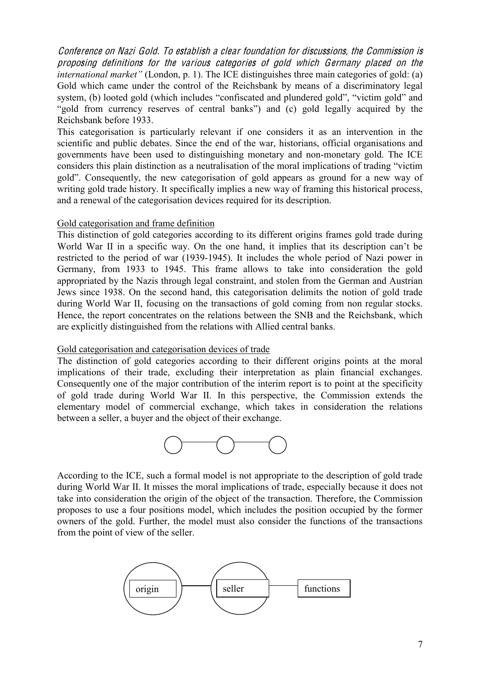Conference on Nazi Gold. To <sup>e</sup>stablish <sup>a</sup> <sup>c</sup>lear foundation for discussions, th<sup>e</sup> Commission i<sup>s</sup> propo<sup>s</sup>ing definition<sup>s</sup> for th<sup>e</sup> variou<sup>s</sup> <sup>c</sup>ategorie<sup>s</sup> <sup>o</sup>f gold which Germany placed on th<sup>e</sup> *international market"* (London, p. 1). The ICE distinguishes three main categories of gold: (a) Gold which came under the control of the Reichsbank by means of a discriminatory legal system, (b) looted gold (which includes "confiscated and plundered gold", "victim gold" and "gold from currency reserves of central banks") and (c) gold legally acquired by the Reichsbank before 1933.

This categorisation is particularly relevant if one considers it as an intervention in the scientific and public debates. Since the end of the war, historians, official organisations and governments have been used to distinguishing monetary and non-monetary gold. The ICE considers this plain distinction as a neutralisation of the moral implications of trading "victim gold". Consequently, the new categorisation of gold appears as ground for a new way of writing gold trade history. It specifically implies a new way of framing this historical process, and a renewal of the categorisation devices required for its description.

### Gold categorisation and frame definition

This distinction of gold categories according to its different origins frames gold trade during World War II in a specific way. On the one hand, it implies that its description can't be restricted to the period of war (1939-1945). It includes the whole period of Nazi power in Germany, from 1933 to 1945. This frame allows to take into consideration the gold appropriated by the Nazis through legal constraint, and stolen from the German and Austrian Jews since 1938. On the second hand, this categorisation delimits the notion of gold trade during World War II, focusing on the transactions of gold coming from non regular stocks. Hence, the report concentrates on the relations between the SNB and the Reichsbank, which are explicitly distinguished from the relations with Allied central banks.

### Gold categorisation and categorisation devices of trade

The distinction of gold categories according to their different origins points at the moral implications of their trade, excluding their interpretation as plain financial exchanges. Consequently one of the major contribution of the interim report is to point at the specificity of gold trade during World War II. In this perspective, the Commission extends the elementary model of commercial exchange, which takes in consideration the relations between a seller, a buyer and the object of their exchange.



According to the ICE, such a formal model is not appropriate to the description of gold trade during World War II. It misses the moral implications of trade, especially because it does not take into consideration the origin of the object of the transaction. Therefore, the Commission proposes to use a four positions model, which includes the position occupied by the former owners of the gold. Further, the model must also consider the functions of the transactions from the point of view of the seller.

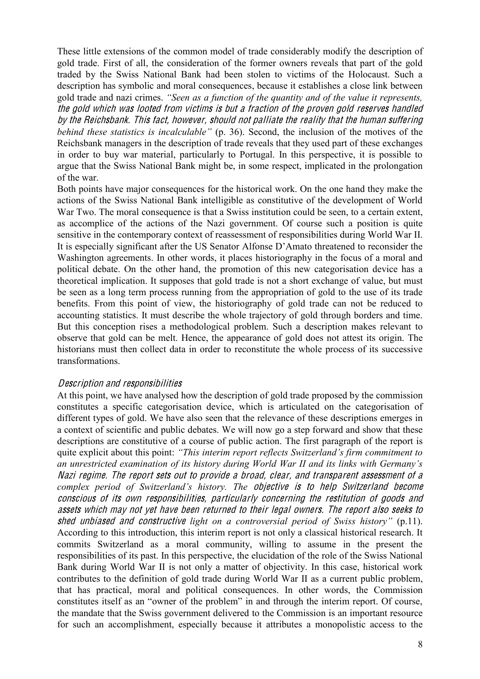These little extensions of the common model of trade considerably modify the description of gold trade. First of all, the consideration of the former owners reveals that part of the gold traded by the Swiss National Bank had been stolen to victims of the Holocaust. Such a description has symbolic and moral consequences, because it establishes a close link between gold trade and nazi crimes. *"Seen as a function of the quantity and of the value it represents,*  th<sup>e</sup> gold which wa<sup>s</sup> looted fro<sup>m</sup> victim<sup>s</sup> i<sup>s</sup> but <sup>a</sup> fraction <sup>o</sup>f th<sup>e</sup> prove<sup>n</sup> gold <sup>r</sup>eserve<sup>s</sup> handled by th<sup>e</sup> Reichsbank. Thi<sup>s</sup> fact, however, <sup>s</sup>hould not palliat<sup>e</sup> th<sup>e</sup> <sup>r</sup>eality that th<sup>e</sup> human <sup>s</sup>uffering *behind these statistics is incalculable"* (p. 36). Second, the inclusion of the motives of the Reichsbank managers in the description of trade reveals that they used part of these exchanges in order to buy war material, particularly to Portugal. In this perspective, it is possible to argue that the Swiss National Bank might be, in some respect, implicated in the prolongation of the war.

Both points have major consequences for the historical work. On the one hand they make the actions of the Swiss National Bank intelligible as constitutive of the development of World War Two. The moral consequence is that a Swiss institution could be seen, to a certain extent, as accomplice of the actions of the Nazi government. Of course such a position is quite sensitive in the contemporary context of reassessment of responsibilities during World War II. It is especially significant after the US Senator Alfonse D'Amato threatened to reconsider the Washington agreements. In other words, it places historiography in the focus of a moral and political debate. On the other hand, the promotion of this new categorisation device has a theoretical implication. It supposes that gold trade is not a short exchange of value, but must be seen as a long term process running from the appropriation of gold to the use of its trade benefits. From this point of view, the historiography of gold trade can not be reduced to accounting statistics. It must describe the whole trajectory of gold through borders and time. But this conception rises a methodological problem. Such a description makes relevant to observe that gold can be melt. Hence, the appearance of gold does not attest its origin. The historians must then collect data in order to reconstitute the whole process of its successive transformations.

### Description and <sup>r</sup>esponsibilitie<sup>s</sup>

At this point, we have analysed how the description of gold trade proposed by the commission constitutes a specific categorisation device, which is articulated on the categorisation of different types of gold. We have also seen that the relevance of these descriptions emerges in a context of scientific and public debates. We will now go a step forward and show that these descriptions are constitutive of a course of public action. The first paragraph of the report is quite explicit about this point: *"This interim report reflects Switzerland's firm commitment to an unrestricted examination of its history during World War II and its links with Germany's*  Nazi <sup>r</sup><sup>e</sup>gime. Th<sup>e</sup> <sup>r</sup>eport <sup>s</sup>ets out t<sup>o</sup> provid<sup>e</sup> <sup>a</sup> broad, <sup>c</sup>lear, and transparent <sup>a</sup>ssessment <sup>o</sup>f <sup>a</sup> *complex period of Switzerland's history. The* objectiv<sup>e</sup> i<sup>s</sup> <sup>t</sup><sup>o</sup> help Switzerland becom<sup>e</sup> <sup>c</sup>onsciou<sup>s</sup> <sup>o</sup>f its own <sup>r</sup>esponsibilities, particularly <sup>c</sup>oncerning th<sup>e</sup> <sup>r</sup>estitution <sup>o</sup>f good<sup>s</sup> and <sup>a</sup>ssets which <sup>m</sup>ay not yet hav<sup>e</sup> bee<sup>n</sup> <sup>r</sup>eturned t<sup>o</sup> their legal owners. Th<sup>e</sup> <sup>r</sup>eport als<sup>o</sup> <sup>s</sup>eek<sup>s</sup> t<sup>o</sup> <sup>s</sup>hed unbiased and <sup>c</sup>onstructiv<sup>e</sup> *light on a controversial period of Swiss history"* (p.11). According to this introduction, this interim report is not only a classical historical research. It commits Switzerland as a moral community, willing to assume in the present the responsibilities of its past. In this perspective, the elucidation of the role of the Swiss National Bank during World War II is not only a matter of objectivity. In this case, historical work contributes to the definition of gold trade during World War II as a current public problem, that has practical, moral and political consequences. In other words, the Commission constitutes itself as an "owner of the problem" in and through the interim report. Of course, the mandate that the Swiss government delivered to the Commission is an important resource for such an accomplishment, especially because it attributes a monopolistic access to the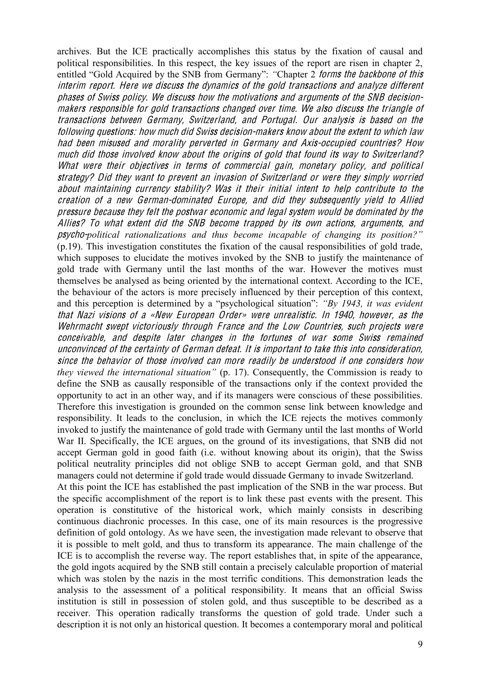archives. But the ICE practically accomplishes this status by the fixation of causal and political responsibilities. In this respect, the key issues of the report are risen in chapter 2, entitled "Gold Acquired by the SNB from Germany": *"*Chapter 2 form<sup>s</sup> <sup>t</sup>h<sup>e</sup> backbon<sup>e</sup> <sup>o</sup>f <sup>t</sup>hi<sup>s</sup> interi<sup>m</sup> <sup>r</sup>eport. Her<sup>e</sup> <sup>w</sup><sup>e</sup> discuss th<sup>e</sup> dynamic<sup>s</sup> <sup>o</sup>f th<sup>e</sup> gold transaction<sup>s</sup> and analyz<sup>e</sup> different pha<sup>s</sup>e<sup>s</sup> <sup>o</sup>f Swiss poli<sup>c</sup>y. W<sup>e</sup> discuss how th<sup>e</sup> <sup>m</sup>otivation<sup>s</sup> and arguments <sup>o</sup>f th<sup>e</sup> SNB decision<sup>m</sup>aker<sup>s</sup> <sup>r</sup>esponsibl<sup>e</sup> for gold transaction<sup>s</sup> <sup>c</sup>hanged ove<sup>r</sup> time. W<sup>e</sup> als<sup>o</sup> discuss th<sup>e</sup> triangl<sup>e</sup> <sup>o</sup>f transaction<sup>s</sup> betwee<sup>n</sup> Germany, Switzerland, and Portugal. Our analysi<sup>s</sup> i<sup>s</sup> based on th<sup>e</sup> following questions: how <sup>m</sup>uch did Swiss decision-maker<sup>s</sup> know about th<sup>e</sup> <sup>e</sup>xtent t<sup>o</sup> which law had bee<sup>n</sup> <sup>m</sup>isused and <sup>m</sup>orality perverted in Germany and Axis-occupied <sup>c</sup>ountries? How <sup>m</sup>uch did thos<sup>e</sup> involved know about th<sup>e</sup> origin<sup>s</sup> <sup>o</sup>f gold that found its way t<sup>o</sup> Switzerland? What <sup>w</sup>er<sup>e</sup> their objective<sup>s</sup> in term<sup>s</sup> <sup>o</sup>f <sup>c</sup>ommercial gain, <sup>m</sup>onetary poli<sup>c</sup>y, and political strategy? Did they want t<sup>o</sup> prevent an invasion <sup>o</sup>f Switzerland or <sup>w</sup>er<sup>e</sup> they <sup>s</sup>imply worried about <sup>m</sup>aintaining <sup>c</sup>urrency stability? Wa<sup>s</sup> it their initial intent t<sup>o</sup> help <sup>c</sup>ontribut<sup>e</sup> t<sup>o</sup> th<sup>e</sup> <sup>c</sup>reation <sup>o</sup>f <sup>a</sup> <sup>n</sup>e<sup>w</sup> German-dominated Europ<sup>e</sup>, and did they <sup>s</sup>ubsequently yield t<sup>o</sup> Allied pressur<sup>e</sup> becaus<sup>e</sup> they felt th<sup>e</sup> postwar economi<sup>c</sup> and legal <sup>s</sup>yste<sup>m</sup> would b<sup>e</sup> dominated by th<sup>e</sup> Allies? To what <sup>e</sup>xtent did th<sup>e</sup> SNB becom<sup>e</sup> trapped by its own <sup>a</sup>ctions, arguments, and psycho-*political rationalizations and thus become incapable of changing its position?"* (p.19). This investigation constitutes the fixation of the causal responsibilities of gold trade, which supposes to elucidate the motives invoked by the SNB to justify the maintenance of gold trade with Germany until the last months of the war. However the motives must themselves be analysed as being oriented by the international context. According to the ICE, the behaviour of the actors is more precisely influenced by their perception of this context, and this perception is determined by a "psychological situation": *"By 1943, it was evident*  that Nazi vision<sup>s</sup> <sup>o</sup>f <sup>a</sup> «Ne<sup>w</sup> Europ<sup>e</sup>an Order» <sup>w</sup>er<sup>e</sup> unrealistic. In 1940, however, <sup>a</sup><sup>s</sup> th<sup>e</sup> Wehrmacht swept victoriously through France and the Low Countries, such projects were <sup>c</sup>onceivable, and de<sup>s</sup>pit<sup>e</sup> late<sup>r</sup> <sup>c</sup>hange<sup>s</sup> in th<sup>e</sup> fortune<sup>s</sup> <sup>o</sup>f war <sup>s</sup>om<sup>e</sup> Swiss <sup>r</sup>emained unconvinced <sup>o</sup>f th<sup>e</sup> certainty <sup>o</sup>f German defeat. It i<sup>s</sup> important t<sup>o</sup> take thi<sup>s</sup> int<sup>o</sup> <sup>c</sup>onsideration, <sup>s</sup>ince th<sup>e</sup> behavior <sup>o</sup>f thos<sup>e</sup> involved <sup>c</sup>an <sup>m</sup>or<sup>e</sup> <sup>r</sup><sup>e</sup>adily b<sup>e</sup> understood if on<sup>e</sup> <sup>c</sup>onsider<sup>s</sup> how *they viewed the international situation"* (p. 17). Consequently, the Commission is ready to define the SNB as causally responsible of the transactions only if the context provided the opportunity to act in an other way, and if its managers were conscious of these possibilities. Therefore this investigation is grounded on the common sense link between knowledge and responsibility. It leads to the conclusion, in which the ICE rejects the motives commonly invoked to justify the maintenance of gold trade with Germany until the last months of World War II. Specifically, the ICE argues, on the ground of its investigations, that SNB did not accept German gold in good faith (i.e. without knowing about its origin), that the Swiss political neutrality principles did not oblige SNB to accept German gold, and that SNB managers could not determine if gold trade would dissuade Germany to invade Switzerland. At this point the ICE has established the past implication of the SNB in the war process. But the specific accomplishment of the report is to link these past events with the present. This operation is constitutive of the historical work, which mainly consists in describing continuous diachronic processes. In this case, one of its main resources is the progressive definition of gold ontology. As we have seen, the investigation made relevant to observe that it is possible to melt gold, and thus to transform its appearance. The main challenge of the ICE is to accomplish the reverse way. The report establishes that, in spite of the appearance, the gold ingots acquired by the SNB still contain a precisely calculable proportion of material which was stolen by the nazis in the most terrific conditions. This demonstration leads the analysis to the assessment of a political responsibility. It means that an official Swiss institution is still in possession of stolen gold, and thus susceptible to be described as a receiver. This operation radically transforms the question of gold trade. Under such a description it is not only an historical question. It becomes a contemporary moral and political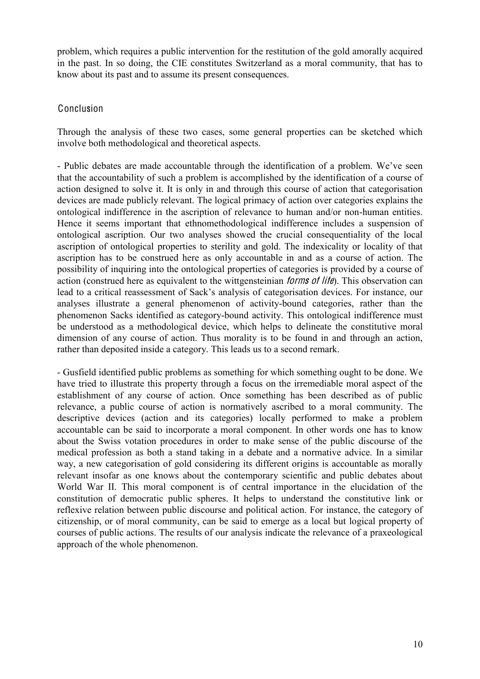problem, which requires a public intervention for the restitution of the gold amorally acquired in the past. In so doing, the CIE constitutes Switzerland as a moral community, that has to know about its past and to assume its present consequences.

# Conclusion

Through the analysis of these two cases, some general properties can be sketched which involve both methodological and theoretical aspects.

- Public debates are made accountable through the identification of a problem. We've seen that the accountability of such a problem is accomplished by the identification of a course of action designed to solve it. It is only in and through this course of action that categorisation devices are made publicly relevant. The logical primacy of action over categories explains the ontological indifference in the ascription of relevance to human and/or non-human entities. Hence it seems important that ethnomethodological indifference includes a suspension of ontological ascription. Our two analyses showed the crucial consequentiality of the local ascription of ontological properties to sterility and gold. The indexicality or locality of that ascription has to be construed here as only accountable in and as a course of action. The possibility of inquiring into the ontological properties of categories is provided by a course of action (construed here as equivalent to the wittgensteinian *forms of life*). This observation can lead to a critical reassessment of Sack's analysis of categorisation devices. For instance, our analyses illustrate a general phenomenon of activity-bound categories, rather than the phenomenon Sacks identified as category-bound activity. This ontological indifference must be understood as a methodological device, which helps to delineate the constitutive moral dimension of any course of action. Thus morality is to be found in and through an action, rather than deposited inside a category. This leads us to a second remark.

- Gusfield identified public problems as something for which something ought to be done. We have tried to illustrate this property through a focus on the irremediable moral aspect of the establishment of any course of action. Once something has been described as of public relevance, a public course of action is normatively ascribed to a moral community. The descriptive devices (action and its categories) locally performed to make a problem accountable can be said to incorporate a moral component. In other words one has to know about the Swiss votation procedures in order to make sense of the public discourse of the medical profession as both a stand taking in a debate and a normative advice. In a similar way, a new categorisation of gold considering its different origins is accountable as morally relevant insofar as one knows about the contemporary scientific and public debates about World War II. This moral component is of central importance in the elucidation of the constitution of democratic public spheres. It helps to understand the constitutive link or reflexive relation between public discourse and political action. For instance, the category of citizenship, or of moral community, can be said to emerge as a local but logical property of courses of public actions. The results of our analysis indicate the relevance of a praxeological approach of the whole phenomenon.